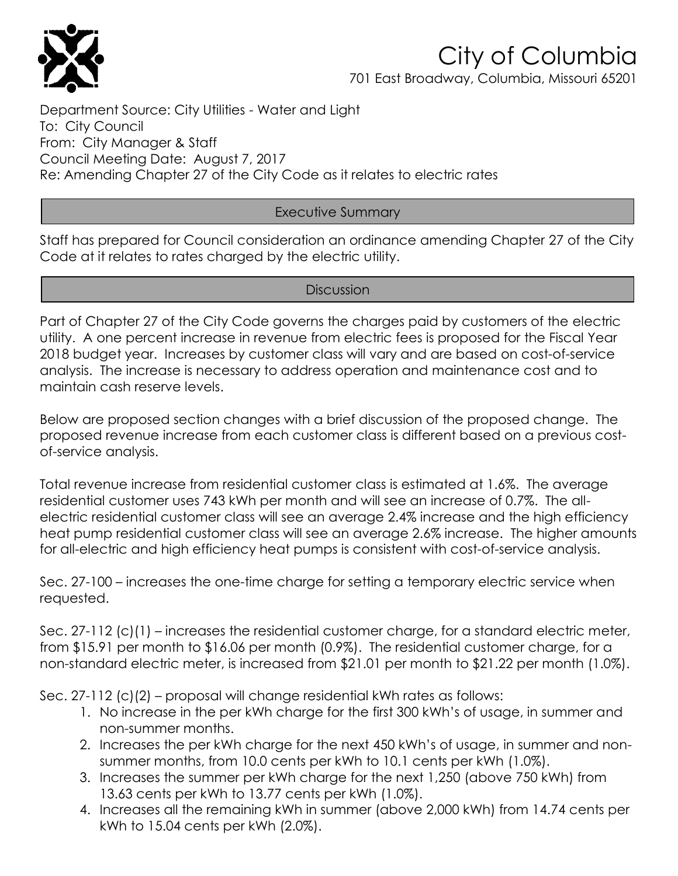

701 East Broadway, Columbia, Missouri 65201

Department Source: City Utilities - Water and Light To: City Council From: City Manager & Staff Council Meeting Date: August 7, 2017 Re: Amending Chapter 27 of the City Code as it relates to electric rates

### Executive Summary

Staff has prepared for Council consideration an ordinance amending Chapter 27 of the City Code at it relates to rates charaed by the electric utility.

### **Discussion**

Part of Chapter 27 of the City Code governs the charges paid by customers of the electric utility. A one percent increase in revenue from electric fees is proposed for the Fiscal Year 2018 budget year. Increases by customer class will vary and are based on cost-of-service analysis. The increase is necessary to address operation and maintenance cost and to maintain cash reserve levels.

Below are proposed section changes with a brief discussion of the proposed change. The proposed revenue increase from each customer class is different based on a previous costof-service analysis.

Total revenue increase from residential customer class is estimated at 1.6%. The average residential customer uses 743 kWh per month and will see an increase of 0.7%. The allelectric residential customer class will see an average 2.4% increase and the high efficiency heat pump residential customer class will see an average 2.6% increase. The higher amounts for all-electric and high efficiency heat pumps is consistent with cost-of-service analysis.

Sec. 27-100 – increases the one-time charge for setting a temporary electric service when requested.

Sec. 27-112 (c)(1) – increases the residential customer charge, for a standard electric meter, from \$15.91 per month to \$16.06 per month (0.9%). The residential customer charge, for a non-standard electric meter, is increased from \$21.01 per month to \$21.22 per month (1.0%).

Sec. 27-112 (c)(2) – proposal will change residential kWh rates as follows:

- 1. No increase in the per kWh charge for the first 300 kWh's of usage, in summer and non-summer months.
- 2. Increases the per kWh charge for the next 450 kWh's of usage, in summer and nonsummer months, from 10.0 cents per kWh to 10.1 cents per kWh (1.0%).
- 3. Increases the summer per kWh charge for the next 1,250 (above 750 kWh) from 13.63 cents per kWh to 13.77 cents per kWh (1.0%).
- 4. Increases all the remaining kWh in summer (above 2,000 kWh) from 14.74 cents per kWh to 15.04 cents per kWh (2.0%).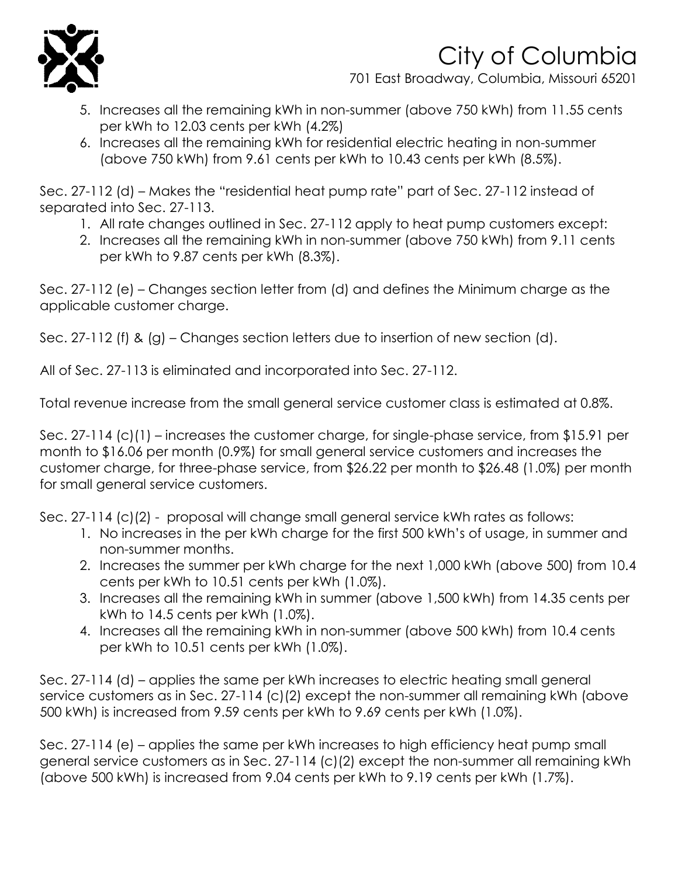

701 East Broadway, Columbia, Missouri 65201

- 5. Increases all the remaining kWh in non-summer (above 750 kWh) from 11.55 cents per kWh to 12.03 cents per kWh (4.2%)
- 6. Increases all the remaining kWh for residential electric heating in non-summer (above 750 kWh) from 9.61 cents per kWh to 10.43 cents per kWh (8.5%).

Sec. 27-112 (d) – Makes the "residential heat pump rate" part of Sec. 27-112 instead of separated into Sec. 27-113.

- 1. All rate changes outlined in Sec. 27-112 apply to heat pump customers except:
- 2. Increases all the remaining kWh in non-summer (above 750 kWh) from 9.11 cents per kWh to 9.87 cents per kWh (8.3%).

Sec. 27-112 (e) – Changes section letter from (d) and defines the Minimum charge as the applicable customer charge.

Sec. 27-112 (f) & (g) – Changes section letters due to insertion of new section (d).

All of Sec. 27-113 is eliminated and incorporated into Sec. 27-112.

Total revenue increase from the small general service customer class is estimated at 0.8%.

Sec. 27-114 (c)(1) – increases the customer charge, for single-phase service, from \$15.91 per month to \$16.06 per month (0.9%) for small general service customers and increases the customer charge, for three-phase service, from \$26.22 per month to \$26.48 (1.0%) per month for small general service customers.

Sec. 27-114 (c)(2) - proposal will change small general service kWh rates as follows:

- 1. No increases in the per kWh charge for the first 500 kWh's of usage, in summer and non-summer months.
- 2. Increases the summer per kWh charge for the next 1,000 kWh (above 500) from 10.4 cents per kWh to 10.51 cents per kWh (1.0%).
- 3. Increases all the remaining kWh in summer (above 1,500 kWh) from 14.35 cents per kWh to 14.5 cents per kWh (1.0%).
- 4. Increases all the remaining kWh in non-summer (above 500 kWh) from 10.4 cents per kWh to 10.51 cents per kWh (1.0%).

Sec. 27-114 (d) – applies the same per kWh increases to electric heating small general service customers as in Sec. 27-114 (c)(2) except the non-summer all remaining kWh (above 500 kWh) is increased from 9.59 cents per kWh to 9.69 cents per kWh (1.0%).

Sec. 27-114 (e) – applies the same per kWh increases to high efficiency heat pump small general service customers as in Sec. 27-114 (c)(2) except the non-summer all remaining kWh (above 500 kWh) is increased from 9.04 cents per kWh to 9.19 cents per kWh (1.7%).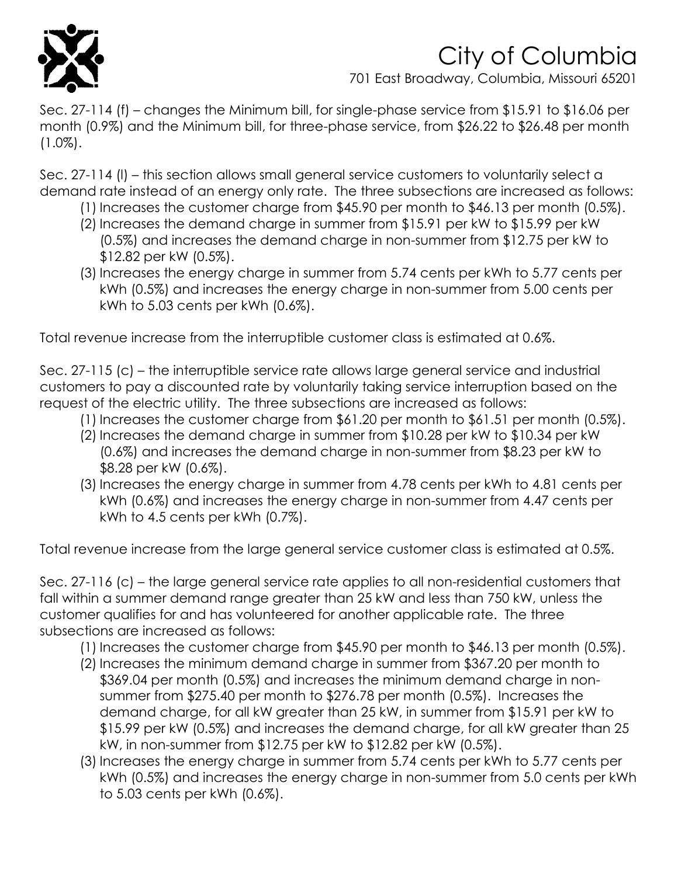

701 East Broadway, Columbia, Missouri 65201

Sec. 27-114 (f) – changes the Minimum bill, for single-phase service from \$15.91 to \$16.06 per month (0.9%) and the Minimum bill, for three-phase service, from \$26.22 to \$26.48 per month  $(1.0\%)$ .

Sec. 27-114 (l) – this section allows small general service customers to voluntarily select a demand rate instead of an energy only rate. The three subsections are increased as follows:

- (1) Increases the customer charge from \$45.90 per month to \$46.13 per month (0.5%).
- (2) Increases the demand charge in summer from \$15.91 per kW to \$15.99 per kW (0.5%) and increases the demand charge in non-summer from \$12.75 per kW to \$12.82 per kW (0.5%).
- (3) Increases the energy charge in summer from 5.74 cents per kWh to 5.77 cents per kWh (0.5%) and increases the energy charge in non-summer from 5.00 cents per kWh to 5.03 cents per kWh (0.6%).

Total revenue increase from the interruptible customer class is estimated at 0.6%.

Sec. 27-115 (c) – the interruptible service rate allows large general service and industrial customers to pay a discounted rate by voluntarily taking service interruption based on the request of the electric utility. The three subsections are increased as follows:

- (1) Increases the customer charge from \$61.20 per month to \$61.51 per month (0.5%).
- (2) Increases the demand charge in summer from \$10.28 per kW to \$10.34 per kW (0.6%) and increases the demand charge in non-summer from \$8.23 per kW to \$8.28 per kW (0.6%).
- (3) Increases the energy charge in summer from 4.78 cents per kWh to 4.81 cents per kWh (0.6%) and increases the energy charge in non-summer from 4.47 cents per kWh to 4.5 cents per kWh (0.7%).

Total revenue increase from the large general service customer class is estimated at 0.5%.

Sec. 27-116 (c) – the large general service rate applies to all non-residential customers that fall within a summer demand range greater than 25 kW and less than 750 kW, unless the customer qualifies for and has volunteered for another applicable rate. The three subsections are increased as follows:

- (1) Increases the customer charge from \$45.90 per month to \$46.13 per month (0.5%).
- (2) Increases the minimum demand charge in summer from \$367.20 per month to \$369.04 per month (0.5%) and increases the minimum demand charge in nonsummer from \$275.40 per month to \$276.78 per month (0.5%). Increases the demand charge, for all kW greater than 25 kW, in summer from \$15.91 per kW to \$15.99 per kW (0.5%) and increases the demand charge, for all kW greater than 25 kW, in non-summer from \$12.75 per kW to \$12.82 per kW (0.5%).
- (3) Increases the energy charge in summer from 5.74 cents per kWh to 5.77 cents per kWh (0.5%) and increases the energy charge in non-summer from 5.0 cents per kWh to 5.03 cents per kWh (0.6%).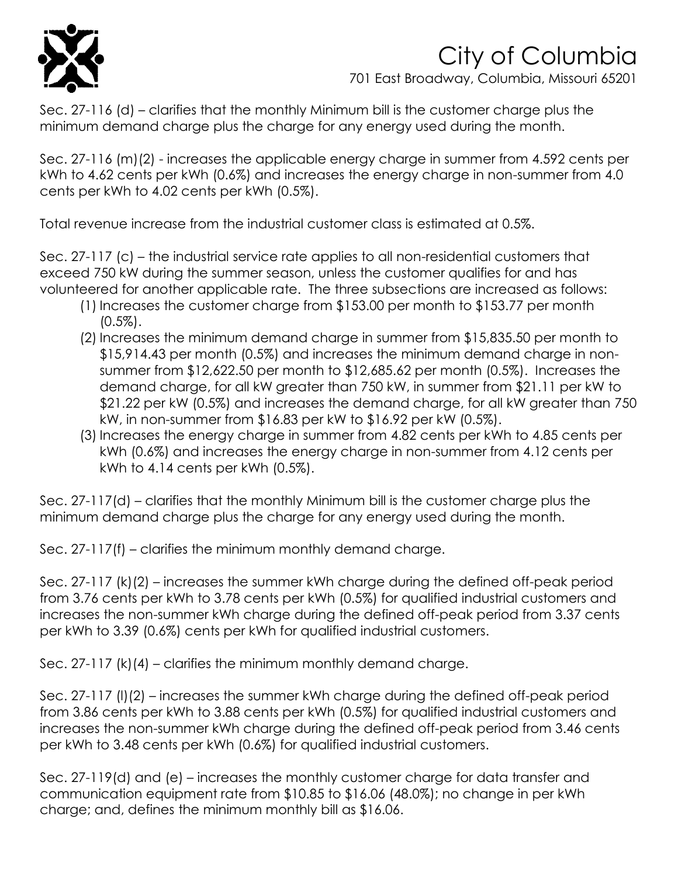

701 East Broadway, Columbia, Missouri 65201

Sec. 27-116 (d) – clarifies that the monthly Minimum bill is the customer charge plus the minimum demand charge plus the charge for any energy used during the month.

Sec. 27-116 (m)(2) - increases the applicable energy charge in summer from 4.592 cents per kWh to 4.62 cents per kWh (0.6%) and increases the energy charge in non-summer from 4.0 cents per kWh to 4.02 cents per kWh (0.5%).

Total revenue increase from the industrial customer class is estimated at 0.5%.

Sec. 27-117 (c) – the industrial service rate applies to all non-residential customers that exceed 750 kW during the summer season, unless the customer qualifies for and has volunteered for another applicable rate. The three subsections are increased as follows:

- (1) Increases the customer charge from \$153.00 per month to \$153.77 per month  $(0.5\%)$ .
- (2) Increases the minimum demand charge in summer from \$15,835.50 per month to \$15,914.43 per month (0.5%) and increases the minimum demand charge in nonsummer from \$12,622.50 per month to \$12,685.62 per month (0.5%). Increases the demand charge, for all kW greater than 750 kW, in summer from \$21.11 per kW to \$21.22 per kW (0.5%) and increases the demand charge, for all kW greater than 750 kW, in non-summer from \$16.83 per kW to \$16.92 per kW (0.5%).
- (3) Increases the energy charge in summer from 4.82 cents per kWh to 4.85 cents per kWh (0.6%) and increases the energy charge in non-summer from 4.12 cents per kWh to 4.14 cents per kWh (0.5%).

Sec. 27-117(d) – clarifies that the monthly Minimum bill is the customer charge plus the minimum demand charge plus the charge for any energy used during the month.

Sec. 27-117(f) – clarifies the minimum monthly demand charge.

Sec. 27-117 (k)(2) – increases the summer kWh charge during the defined off-peak period from 3.76 cents per kWh to 3.78 cents per kWh (0.5%) for qualified industrial customers and increases the non-summer kWh charge during the defined off-peak period from 3.37 cents per kWh to 3.39 (0.6%) cents per kWh for qualified industrial customers.

Sec. 27-117 (k)(4) – clarifies the minimum monthly demand charge.

Sec. 27-117 (l)(2) – increases the summer kWh charge during the defined off-peak period from 3.86 cents per kWh to 3.88 cents per kWh (0.5%) for qualified industrial customers and increases the non-summer kWh charge during the defined off-peak period from 3.46 cents per kWh to 3.48 cents per kWh (0.6%) for qualified industrial customers.

Sec. 27-119(d) and (e) – increases the monthly customer charge for data transfer and communication equipment rate from \$10.85 to \$16.06 (48.0%); no change in per kWh charge; and, defines the minimum monthly bill as \$16.06.